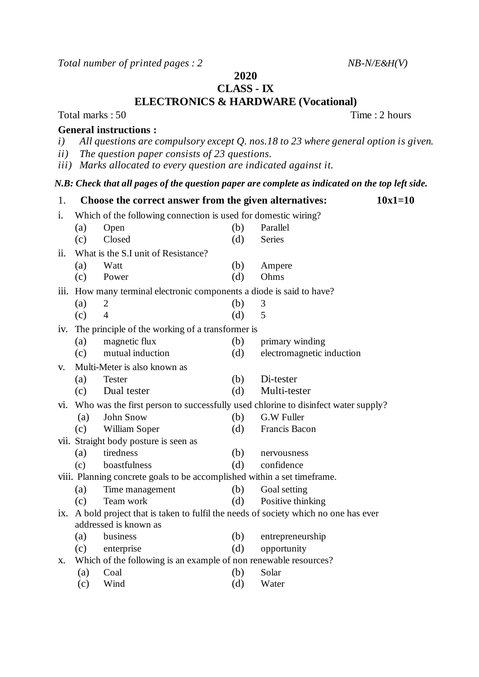*Total number of printed pages : 2 NB-N/E&H(V)*

**2020**

## **CLASS - IX**

**ELECTRONICS & HARDWARE (Vocational)**

Total marks : 50 Time : 2 hours

## **General instructions :**

- *i) All questions are compulsory except Q. nos.18 to 23 where general option is given.*
- *ii) The question paper consists of 23 questions.*
- *iii) Marks allocated to every question are indicated against it.*

## *N.B: Check that all pages of the question paper are complete as indicated on the top left side.*

| 1.   |                                                                                       | Choose the correct answer from the given alternatives:           |     | $10x1=10$                 |  |  |
|------|---------------------------------------------------------------------------------------|------------------------------------------------------------------|-----|---------------------------|--|--|
| i.   | Which of the following connection is used for domestic wiring?                        |                                                                  |     |                           |  |  |
|      | (a)                                                                                   | Open                                                             | (b) | Parallel                  |  |  |
|      | (c)                                                                                   | Closed                                                           | (d) | <b>Series</b>             |  |  |
| ii.  | What is the S.I unit of Resistance?                                                   |                                                                  |     |                           |  |  |
|      | (a)                                                                                   | Watt                                                             | (b) | Ampere                    |  |  |
|      | (c)                                                                                   | Power                                                            | (d) | Ohms                      |  |  |
| iii. |                                                                                       | How many terminal electronic components a diode is said to have? |     |                           |  |  |
|      | (a)                                                                                   | $\overline{2}$                                                   | (b) | 3                         |  |  |
|      | (c)                                                                                   | $\overline{4}$                                                   | (d) | 5                         |  |  |
| iv.  | The principle of the working of a transformer is                                      |                                                                  |     |                           |  |  |
|      | (a)                                                                                   | magnetic flux                                                    | (b) | primary winding           |  |  |
|      | (c)                                                                                   | mutual induction                                                 | (d) | electromagnetic induction |  |  |
| V.   |                                                                                       | Multi-Meter is also known as                                     |     |                           |  |  |
|      | (a)                                                                                   | <b>Tester</b>                                                    | (b) | Di-tester                 |  |  |
|      | (c)                                                                                   | Dual tester                                                      | (d) | Multi-tester              |  |  |
| V1.  | Who was the first person to successfully used chlorine to disinfect water supply?     |                                                                  |     |                           |  |  |
|      | (a)                                                                                   | John Snow                                                        | (b) | G.W Fuller                |  |  |
|      | (c)                                                                                   | William Soper                                                    | (d) | Francis Bacon             |  |  |
|      |                                                                                       | vii. Straight body posture is seen as                            |     |                           |  |  |
|      | (a)                                                                                   | tiredness                                                        | (b) | nervousness               |  |  |
|      | (c)                                                                                   | boastfulness                                                     | (d) | confidence                |  |  |
|      | viii. Planning concrete goals to be accomplished within a set timeframe.              |                                                                  |     |                           |  |  |
|      | (a)                                                                                   | Time management                                                  | (b) | Goal setting              |  |  |
|      | (c)                                                                                   | Team work                                                        | (d) | Positive thinking         |  |  |
|      | ix. A bold project that is taken to fulfil the needs of society which no one has ever |                                                                  |     |                           |  |  |
|      |                                                                                       | addressed is known as                                            |     |                           |  |  |
|      | (a)                                                                                   | business                                                         | (b) | entrepreneurship          |  |  |
|      | (c)                                                                                   | enterprise                                                       | (d) | opportunity               |  |  |
| X.   | Which of the following is an example of non renewable resources?                      |                                                                  |     |                           |  |  |
|      | (a)                                                                                   | Coal                                                             | (b) | Solar                     |  |  |
|      | (c)                                                                                   | Wind                                                             | (d) | Water                     |  |  |
|      |                                                                                       |                                                                  |     |                           |  |  |